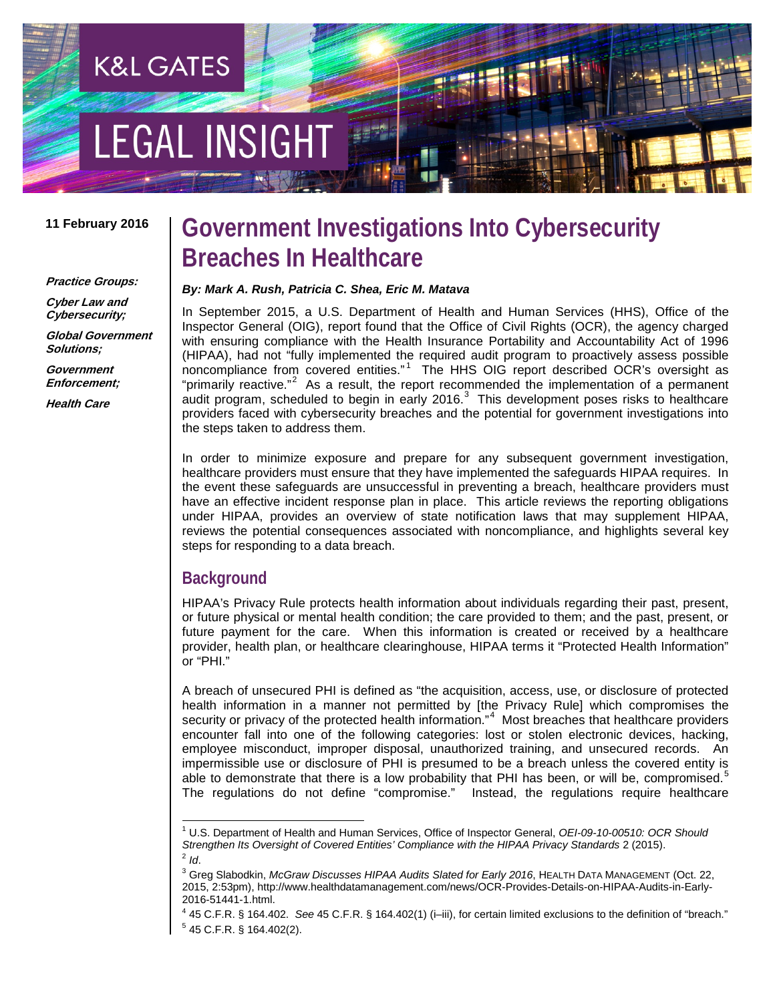# **EGAL INSIGH**

**K&L GATES** 

#### **11 February 2016**

**Practice Groups:**

**Cyber Law and Cybersecurity;**

**Global Government Solutions;**

**Government Enforcement;**

**Health Care**

# **Government Investigations Into Cybersecurity Breaches In Healthcare**

#### *By: Mark A. Rush, Patricia C. Shea, Eric M. Matava*

In September 2015, a U.S. Department of Health and Human Services (HHS), Office of the Inspector General (OIG), report found that the Office of Civil Rights (OCR), the agency charged with ensuring compliance with the Health Insurance Portability and Accountability Act of 1996 (HIPAA), had not "fully implemented the required audit program to proactively assess possible noncompliance from covered entities."<sup>[1](#page-0-0)</sup> The HHS OIG report described OCR's oversight as "primarily reactive."<sup>[2](#page-0-1)</sup> As a result, the report recommended the implementation of a permanent audit program, scheduled to begin in early 2016. $3$  This development poses risks to healthcare providers faced with cybersecurity breaches and the potential for government investigations into the steps taken to address them.

In order to minimize exposure and prepare for any subsequent government investigation, healthcare providers must ensure that they have implemented the safeguards HIPAA requires. In the event these safeguards are unsuccessful in preventing a breach, healthcare providers must have an effective incident response plan in place. This article reviews the reporting obligations under HIPAA, provides an overview of state notification laws that may supplement HIPAA, reviews the potential consequences associated with noncompliance, and highlights several key steps for responding to a data breach.

### **Background**

HIPAA's Privacy Rule protects health information about individuals regarding their past, present, or future physical or mental health condition; the care provided to them; and the past, present, or future payment for the care. When this information is created or received by a healthcare provider, health plan, or healthcare clearinghouse, HIPAA terms it "Protected Health Information" or "PHI."

A breach of unsecured PHI is defined as "the acquisition, access, use, or disclosure of protected health information in a manner not permitted by [the Privacy Rule] which compromises the security or privacy of the protected health information."<sup>[4](#page-0-3)</sup> Most breaches that healthcare providers encounter fall into one of the following categories: lost or stolen electronic devices, hacking, employee misconduct, improper disposal, unauthorized training, and unsecured records. An impermissible use or disclosure of PHI is presumed to be a breach unless the covered entity is able to demonstrate that there is a low probability that PHI has been, or will be, compromised.<sup>[5](#page-0-4)</sup> The regulations do not define "compromise." Instead, the regulations require healthcare

<span id="page-0-1"></span><span id="page-0-0"></span> <sup>1</sup> U.S. Department of Health and Human Services, Office of Inspector General, *OEI-09-10-00510: OCR Should*   $^2$  *ld.*<br> $^3$  Greg Slabodkin, *McGraw Discusses HIPAA Audits Slated for Early 2016*, HEALTH DATA MANAGEMENT (Oct. 22,

<span id="page-0-2"></span><sup>2015, 2:53</sup>pm), http://www.healthdatamanagement.com/news/OCR-Provides-Details-on-HIPAA-Audits-in-Early-2016-51441-1.html.

<span id="page-0-4"></span><span id="page-0-3"></span><sup>4</sup> 45 C.F.R. § 164.402. *See* 45 C.F.R. § 164.402(1) (i–iii), for certain limited exclusions to the definition of "breach."  $5$  45 C.F.R. § 164.402(2).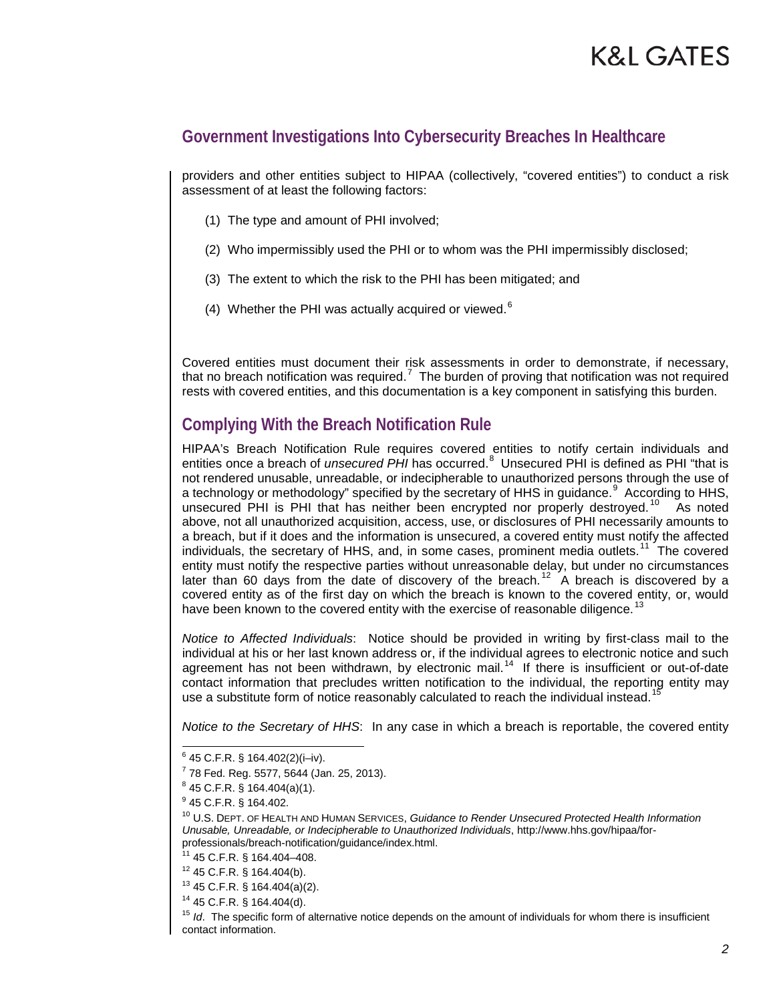### **Government Investigations Into Cybersecurity Breaches In Healthcare**

providers and other entities subject to HIPAA (collectively, "covered entities") to conduct a risk assessment of at least the following factors:

- (1) The type and amount of PHI involved;
- (2) Who impermissibly used the PHI or to whom was the PHI impermissibly disclosed;
- (3) The extent to which the risk to the PHI has been mitigated; and
- (4) Whether the PHI was actually acquired or viewed. $6$

Covered entities must document their risk assessments in order to demonstrate, if necessary, that no breach notification was required.<sup>[7](#page-1-1)</sup> The burden of proving that notification was not required rests with covered entities, and this documentation is a key component in satisfying this burden.

# **Complying With the Breach Notification Rule**

HIPAA's Breach Notification Rule requires covered entities to notify certain individuals and entities once a breach of *unsecured PHI* has occurred.<sup>[8](#page-1-2)</sup> Unsecured PHI is defined as PHI "that is not rendered unusable, unreadable, or indecipherable to unauthorized persons through the use of a technology or methodology" specified by the secretary of HHS in guidance.<sup>[9](#page-1-3)</sup> According to HHS, unsecured PHI is PHI that has neither been encrypted nor properly destroyed.<sup>[10](#page-1-4)</sup> As noted above, not all unauthorized acquisition, access, use, or disclosures of PHI necessarily amounts to a breach, but if it does and the information is unsecured, a covered entity must notify the affected individuals, the secretary of HHS, and, in some cases, prominent media outlets.<sup>[11](#page-1-5)</sup> The covered entity must notify the respective parties without unreasonable delay, but under no circumstances later than 60 days from the date of discovery of the breach.<sup>[12](#page-1-6)</sup> A breach is discovered by a covered entity as of the first day on which the breach is known to the covered entity, or, would have been known to the covered entity with the exercise of reasonable diligence.<sup>13</sup>

*Notice to Affected Individuals*:Notice should be provided in writing by first-class mail to the individual at his or her last known address or, if the individual agrees to electronic notice and such agreement has not been withdrawn, by electronic mail.<sup>14</sup> If there is insufficient or out-of-date contact information that precludes written notification to the individual, the reporting entity may use a substitute form of notice reasonably calculated to reach the individual instead.<sup>1</sup>

*Notice to the Secretary of HHS*:In any case in which a breach is reportable, the covered entity

<span id="page-1-0"></span> <sup>6</sup> 45 C.F.R. § 164.402(2)(i–iv).

<span id="page-1-1"></span> $7$  78 Fed. Reg. 5577, 5644 (Jan. 25, 2013).

<span id="page-1-2"></span><sup>8</sup> 45 C.F.R. § 164.404(a)(1).

<sup>9</sup> 45 C.F.R. § 164.402.

<span id="page-1-4"></span><span id="page-1-3"></span><sup>10</sup> U.S. DEPT. OF HEALTH AND HUMAN SERVICES, *Guidance to Render Unsecured Protected Health Information Unusable, Unreadable, or Indecipherable to Unauthorized Individuals*, http://www.hhs.gov/hipaa/forprofessionals/breach-notification/guidance/index.html.

<sup>11</sup> 45 C.F.R. § 164.404–408.

<span id="page-1-7"></span><span id="page-1-6"></span><span id="page-1-5"></span><sup>12</sup> 45 C.F.R. § 164.404(b).

<sup>13</sup> 45 C.F.R. § 164.404(a)(2).

<sup>14</sup> 45 C.F.R. § 164.404(d).

<span id="page-1-9"></span><span id="page-1-8"></span><sup>&</sup>lt;sup>15</sup> *Id.* The specific form of alternative notice depends on the amount of individuals for whom there is insufficient contact information.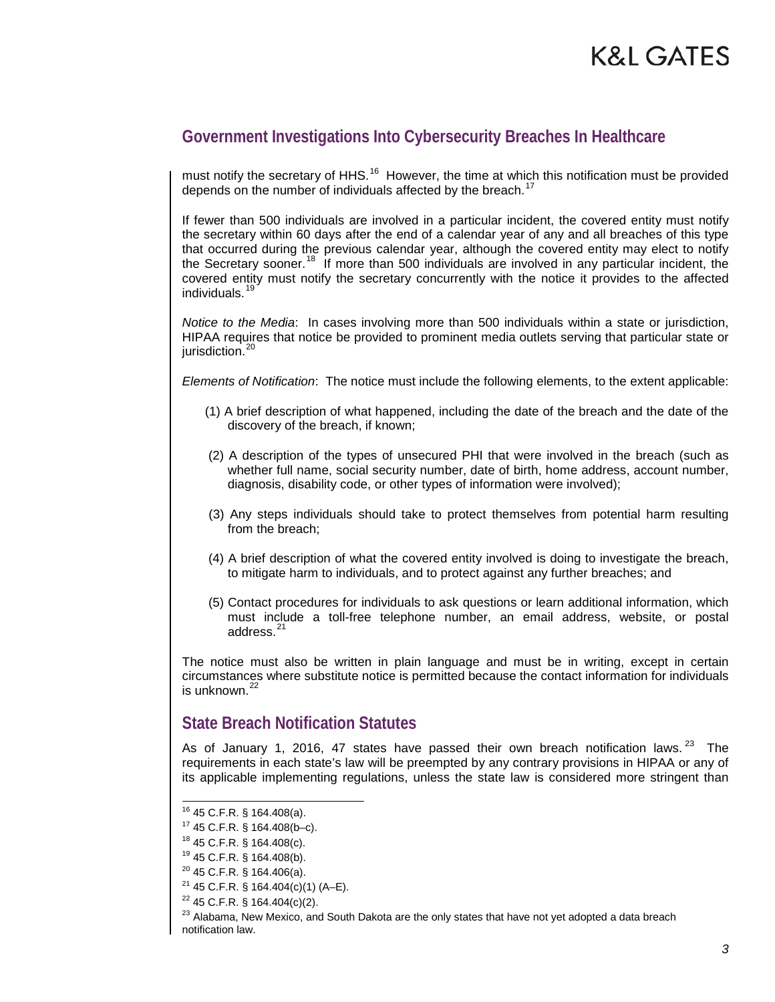# **Government Investigations Into Cybersecurity Breaches In Healthcare**

must notify the secretary of HHS.<sup>16</sup> However, the time at which this notification must be provided depends on the number of individuals affected by the breach.<sup>[17](#page-2-1)</sup>

If fewer than 500 individuals are involved in a particular incident, the covered entity must notify the secretary within 60 days after the end of a calendar year of any and all breaches of this type that occurred during the previous calendar year, although the covered entity may elect to notify the Secretary sooner.<sup>[18](#page-2-2)</sup> If more than 500 individuals are involved in any particular incident, the covered entity must notify the secretary concurrently with the notice it provides to the affected individuals.[19](#page-2-3)

*Notice to the Media*: In cases involving more than 500 individuals within a state or jurisdiction, HIPAA requires that notice be provided to prominent media outlets serving that particular state or jurisdiction.<sup>[20](#page-2-4)</sup>

*Elements of Notification*:The notice must include the following elements, to the extent applicable:

- (1) A brief description of what happened, including the date of the breach and the date of the discovery of the breach, if known;
- (2) A description of the types of unsecured PHI that were involved in the breach (such as whether full name, social security number, date of birth, home address, account number, diagnosis, disability code, or other types of information were involved);
- (3) Any steps individuals should take to protect themselves from potential harm resulting from the breach;
- (4) A brief description of what the covered entity involved is doing to investigate the breach, to mitigate harm to individuals, and to protect against any further breaches; and
- (5) Contact procedures for individuals to ask questions or learn additional information, which must include a toll-free telephone number, an email address, website, or postal address.<sup>[21](#page-2-5)</sup>

The notice must also be written in plain language and must be in writing, except in certain circumstances where substitute notice is permitted because the contact information for individuals is unknown.<sup>[22](#page-2-6)</sup>

### **State Breach Notification Statutes**

As of January 1, 2016, 47 states have passed their own breach notification laws.  $23\text{ }$  $23\text{ }$  The requirements in each state's law will be preempted by any contrary provisions in HIPAA or any of its applicable implementing regulations, unless the state law is considered more stringent than

<span id="page-2-1"></span><span id="page-2-0"></span> <sup>16</sup> 45 C.F.R. § 164.408(a).

 $17$  45 C.F.R. § 164.408(b-c).

 $18$  45 C.F.R. § 164.408(c).

<span id="page-2-2"></span><sup>19</sup> 45 C.F.R. § 164.408(b).

<span id="page-2-4"></span><span id="page-2-3"></span> $20$  45 C.F.R. § 164.406(a).

<span id="page-2-5"></span><sup>&</sup>lt;sup>21</sup> 45 C.F.R. § 164.404(c)(1) (A–E).<br><sup>22</sup> 45 C.F.R. § 164.404(c)(2).

<span id="page-2-7"></span><span id="page-2-6"></span><sup>&</sup>lt;sup>23</sup> Alabama, New Mexico, and South Dakota are the only states that have not yet adopted a data breach notification law.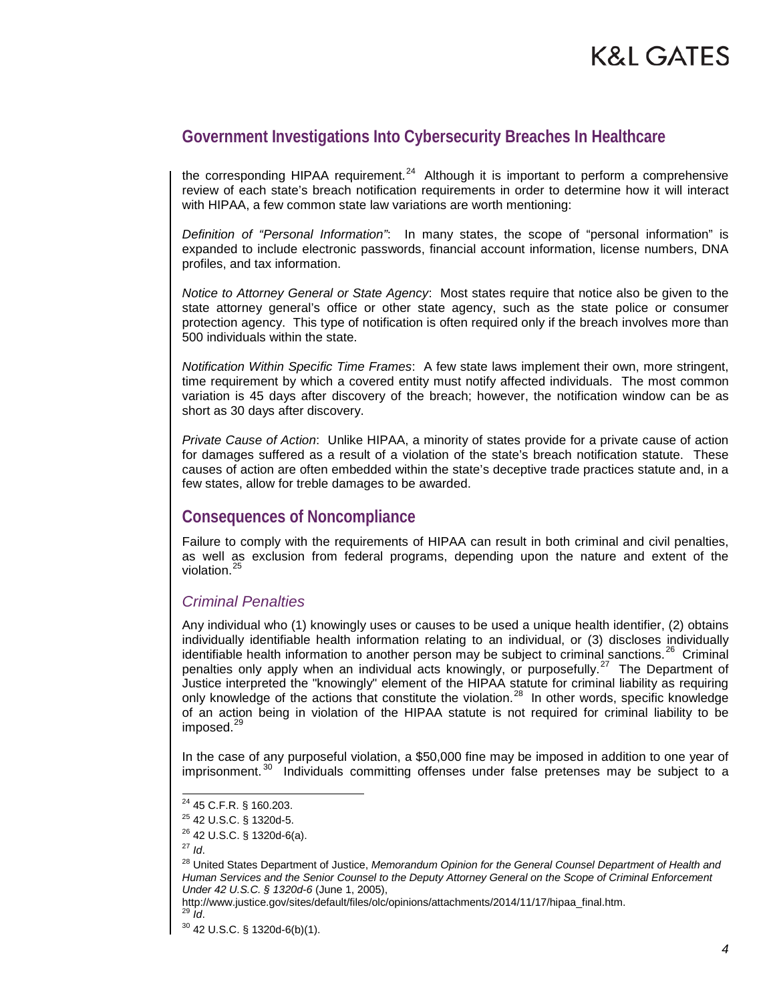### **Government Investigations Into Cybersecurity Breaches In Healthcare**

the corresponding HIPAA requirement.<sup>[24](#page-3-0)</sup> Although it is important to perform a comprehensive review of each state's breach notification requirements in order to determine how it will interact with HIPAA, a few common state law variations are worth mentioning:

*Definition of "Personal Information"*:In many states, the scope of "personal information" is expanded to include electronic passwords, financial account information, license numbers, DNA profiles, and tax information.

*Notice to Attorney General or State Agency*: Most states require that notice also be given to the state attorney general's office or other state agency, such as the state police or consumer protection agency. This type of notification is often required only if the breach involves more than 500 individuals within the state.

*Notification Within Specific Time Frames*: A few state laws implement their own, more stringent, time requirement by which a covered entity must notify affected individuals. The most common variation is 45 days after discovery of the breach; however, the notification window can be as short as 30 days after discovery.

*Private Cause of Action*: Unlike HIPAA, a minority of states provide for a private cause of action for damages suffered as a result of a violation of the state's breach notification statute. These causes of action are often embedded within the state's deceptive trade practices statute and, in a few states, allow for treble damages to be awarded.

# **Consequences of Noncompliance**

Failure to comply with the requirements of HIPAA can result in both criminal and civil penalties, as well as exclusion from federal programs, depending upon the nature and extent of the violation.<sup>2</sup>

#### *Criminal Penalties*

Any individual who (1) knowingly uses or causes to be used a unique health identifier, (2) obtains individually identifiable health information relating to an individual, or (3) discloses individually identifiable health information to another person may be subject to criminal sanctions.<sup>[26](#page-3-2)</sup> Criminal penalties only apply when an individual acts knowingly, or purposefully.<sup>27</sup> The Department of Justice interpreted the "knowingly" element of the HIPAA statute for criminal liability as requiring only knowledge of the actions that constitute the violation.<sup>[28](#page-3-4)</sup> In other words, specific knowledge of an action being in violation of the HIPAA statute is not required for criminal liability to be  $imposed.<sup>29</sup>$  $imposed.<sup>29</sup>$  $imposed.<sup>29</sup>$ 

In the case of any purposeful violation, a \$50,000 fine may be imposed in addition to one year of imprisonment.<sup>[30](#page-3-6)</sup> Individuals committing offenses under false pretenses may be subject to a

<span id="page-3-3"></span><span id="page-3-2"></span> $^{27}$  *Id.* 

http://www.justice.gov/sites/default/files/olc/opinions/attachments/2014/11/17/hipaa\_final.htm.<br><sup>29</sup> *Id.* 30 42 U.S.C. § 1320d-6(b)(1).

<span id="page-3-1"></span><span id="page-3-0"></span> <sup>24</sup> 45 C.F.R. § 160.203.

 $^{25}$  42 U.S.C. § 1320d-5.<br> $^{26}$  42 U.S.C. § 1320d-6(a).

<span id="page-3-4"></span><sup>28</sup> United States Department of Justice, *Memorandum Opinion for the General Counsel Department of Health and Human Services and the Senior Counsel to the Deputy Attorney General on the Scope of Criminal Enforcement Under 42 U.S.C. § 1320d-6* (June 1, 2005),

<span id="page-3-6"></span><span id="page-3-5"></span>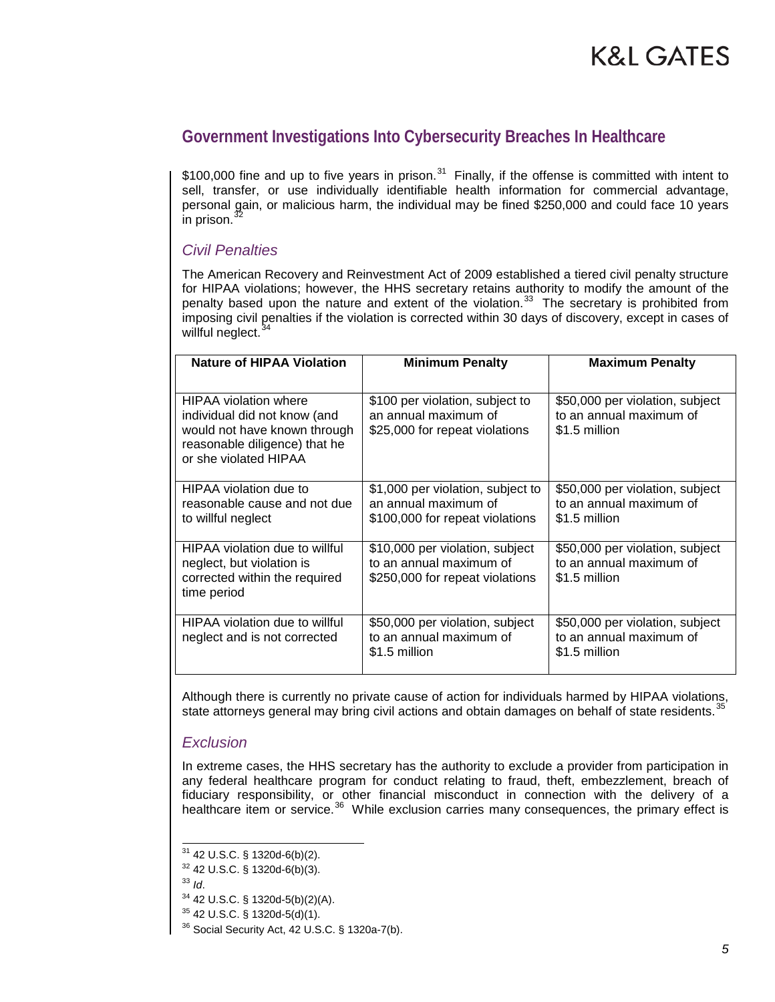# **Government Investigations Into Cybersecurity Breaches In Healthcare**

\$100,000 fine and up to five years in prison.<sup>31</sup> Finally, if the offense is committed with intent to sell, transfer, or use individually identifiable health information for commercial advantage, personal gain, or malicious harm, the individual may be fined \$250,000 and could face 10 years in prison.

#### *Civil Penalties*

The American Recovery and Reinvestment Act of 2009 established a tiered civil penalty structure for HIPAA violations; however, the HHS secretary retains authority to modify the amount of the penalty based upon the nature and extent of the violation.<sup>[33](#page-4-2)</sup> The secretary is prohibited from imposing civil penalties if the violation is corrected within 30 days of discovery, except in cases of willful neglect.<sup>3</sup>

| <b>Nature of HIPAA Violation</b>                                                                                                                       | <b>Minimum Penalty</b>                                                                        | <b>Maximum Penalty</b>                                                      |
|--------------------------------------------------------------------------------------------------------------------------------------------------------|-----------------------------------------------------------------------------------------------|-----------------------------------------------------------------------------|
| <b>HIPAA</b> violation where<br>individual did not know (and<br>would not have known through<br>reasonable diligence) that he<br>or she violated HIPAA | \$100 per violation, subject to<br>an annual maximum of<br>\$25,000 for repeat violations     | \$50,000 per violation, subject<br>to an annual maximum of<br>\$1.5 million |
| HIPAA violation due to<br>reasonable cause and not due<br>to willful neglect                                                                           | \$1,000 per violation, subject to<br>an annual maximum of<br>\$100,000 for repeat violations  | \$50,000 per violation, subject<br>to an annual maximum of<br>\$1.5 million |
| HIPAA violation due to willful<br>neglect, but violation is<br>corrected within the required<br>time period                                            | \$10,000 per violation, subject<br>to an annual maximum of<br>\$250,000 for repeat violations | \$50,000 per violation, subject<br>to an annual maximum of<br>\$1.5 million |
| HIPAA violation due to willful<br>neglect and is not corrected                                                                                         | \$50,000 per violation, subject<br>to an annual maximum of<br>\$1.5 million                   | \$50,000 per violation, subject<br>to an annual maximum of<br>\$1.5 million |

Although there is currently no private cause of action for individuals harmed by HIPAA violations, state attorneys general may bring civil actions and obtain damages on behalf of state residents.<sup>[35](#page-4-4)</sup>

#### *Exclusion*

In extreme cases, the HHS secretary has the authority to exclude a provider from participation in any federal healthcare program for conduct relating to fraud, theft, embezzlement, breach of fiduciary responsibility, or other financial misconduct in connection with the delivery of a healthcare item or service.<sup>36</sup> While exclusion carries many consequences, the primary effect is

<span id="page-4-1"></span><span id="page-4-0"></span> <sup>31</sup> 42 U.S.C. § 1320d-6(b)(2).

 $3^2$  42 U.S.C. § 1320d-6(b)(3).<br> $3^3$  Id.

<span id="page-4-3"></span><span id="page-4-2"></span><sup>&</sup>lt;sup>34</sup> 42 U.S.C. § 1320d-5(b)(2)(A).

<span id="page-4-4"></span><sup>35</sup> 42 U.S.C. § 1320d-5(d)(1).

<span id="page-4-5"></span> $36$  Social Security Act, 42 U.S.C. § 1320a-7(b).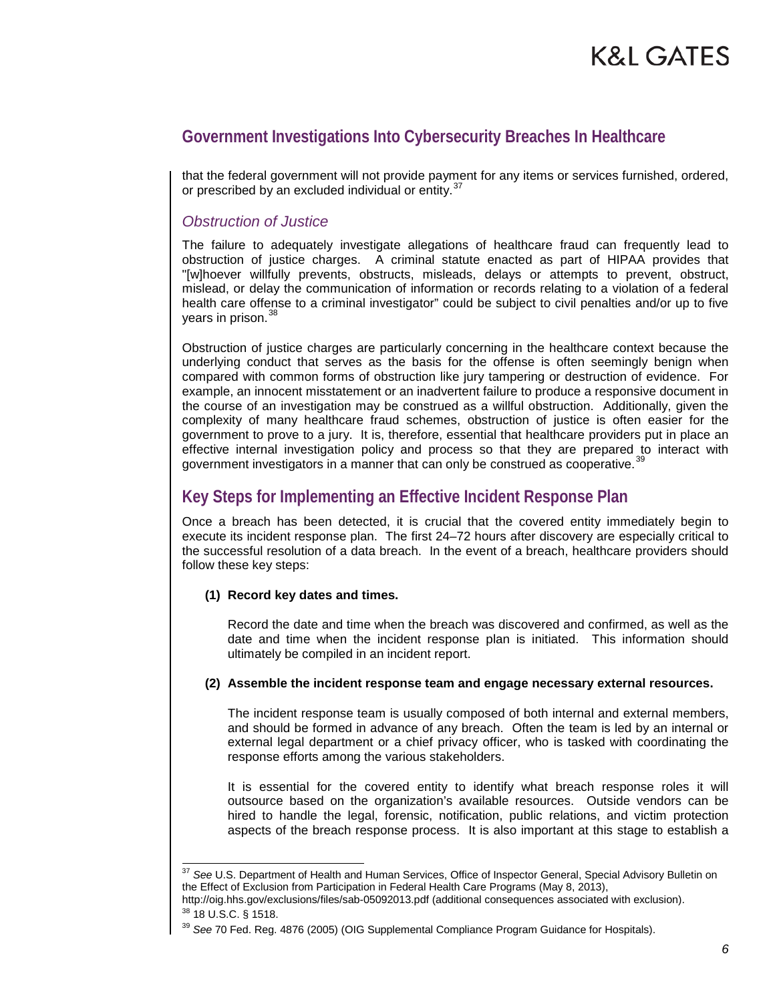# **Government Investigations Into Cybersecurity Breaches In Healthcare**

that the federal government will not provide payment for any items or services furnished, ordered, or prescribed by an excluded individual or entity.<sup>[37](#page-5-0)</sup>

#### *Obstruction of Justice*

The failure to adequately investigate allegations of healthcare fraud can frequently lead to obstruction of justice charges. A criminal statute enacted as part of HIPAA provides that "[w]hoever willfully prevents, obstructs, misleads, delays or attempts to prevent, obstruct, mislead, or delay the communication of information or records relating to a violation of a federal health care offense to a criminal investigator" could be subject to civil penalties and/or up to five years in prison.<sup>[38](#page-5-1)</sup>

Obstruction of justice charges are particularly concerning in the healthcare context because the underlying conduct that serves as the basis for the offense is often seemingly benign when compared with common forms of obstruction like jury tampering or destruction of evidence. For example, an innocent misstatement or an inadvertent failure to produce a responsive document in the course of an investigation may be construed as a willful obstruction. Additionally, given the complexity of many healthcare fraud schemes, obstruction of justice is often easier for the government to prove to a jury. It is, therefore, essential that healthcare providers put in place an effective internal investigation policy and process so that they are prepared to interact with government investigators in a manner that can only be construed as cooperative.<sup>[39](#page-5-2)</sup>

### **Key Steps for Implementing an Effective Incident Response Plan**

Once a breach has been detected, it is crucial that the covered entity immediately begin to execute its incident response plan. The first 24–72 hours after discovery are especially critical to the successful resolution of a data breach. In the event of a breach, healthcare providers should follow these key steps:

#### **(1) Record key dates and times.**

Record the date and time when the breach was discovered and confirmed, as well as the date and time when the incident response plan is initiated. This information should ultimately be compiled in an incident report.

#### **(2) Assemble the incident response team and engage necessary external resources.**

The incident response team is usually composed of both internal and external members, and should be formed in advance of any breach. Often the team is led by an internal or external legal department or a chief privacy officer, who is tasked with coordinating the response efforts among the various stakeholders.

It is essential for the covered entity to identify what breach response roles it will outsource based on the organization's available resources. Outside vendors can be hired to handle the legal, forensic, notification, public relations, and victim protection aspects of the breach response process. It is also important at this stage to establish a

<span id="page-5-0"></span> <sup>37</sup> *See* U.S. Department of Health and Human Services, Office of Inspector General, Special Advisory Bulletin on the Effect of Exclusion from Participation in Federal Health Care Programs (May 8, 2013),

http://oig.hhs.gov/exclusions/files/sab-05092013.pdf (additional consequences associated with exclusion).

<sup>38</sup> 18 U.S.C. § 1518.

<span id="page-5-2"></span><span id="page-5-1"></span><sup>39</sup> *See* 70 Fed. Reg. 4876 (2005) (OIG Supplemental Compliance Program Guidance for Hospitals).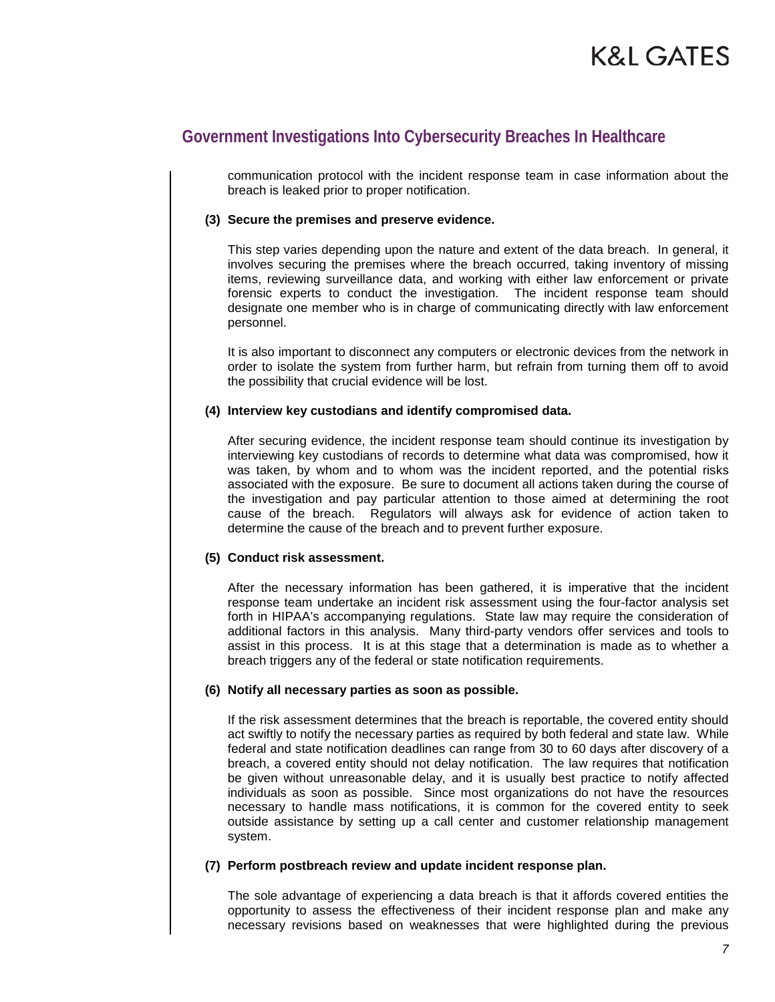# **Government Investigations Into Cybersecurity Breaches In Healthcare**

communication protocol with the incident response team in case information about the breach is leaked prior to proper notification.

#### **(3) Secure the premises and preserve evidence.**

This step varies depending upon the nature and extent of the data breach. In general, it involves securing the premises where the breach occurred, taking inventory of missing items, reviewing surveillance data, and working with either law enforcement or private forensic experts to conduct the investigation. The incident response team should designate one member who is in charge of communicating directly with law enforcement personnel.

It is also important to disconnect any computers or electronic devices from the network in order to isolate the system from further harm, but refrain from turning them off to avoid the possibility that crucial evidence will be lost.

#### **(4) Interview key custodians and identify compromised data.**

After securing evidence, the incident response team should continue its investigation by interviewing key custodians of records to determine what data was compromised, how it was taken, by whom and to whom was the incident reported, and the potential risks associated with the exposure. Be sure to document all actions taken during the course of the investigation and pay particular attention to those aimed at determining the root cause of the breach. Regulators will always ask for evidence of action taken to determine the cause of the breach and to prevent further exposure.

#### **(5) Conduct risk assessment.**

After the necessary information has been gathered, it is imperative that the incident response team undertake an incident risk assessment using the four-factor analysis set forth in HIPAA's accompanying regulations. State law may require the consideration of additional factors in this analysis. Many third-party vendors offer services and tools to assist in this process. It is at this stage that a determination is made as to whether a breach triggers any of the federal or state notification requirements.

#### **(6) Notify all necessary parties as soon as possible.**

If the risk assessment determines that the breach is reportable, the covered entity should act swiftly to notify the necessary parties as required by both federal and state law. While federal and state notification deadlines can range from 30 to 60 days after discovery of a breach, a covered entity should not delay notification. The law requires that notification be given without unreasonable delay, and it is usually best practice to notify affected individuals as soon as possible. Since most organizations do not have the resources necessary to handle mass notifications, it is common for the covered entity to seek outside assistance by setting up a call center and customer relationship management system.

#### **(7) Perform postbreach review and update incident response plan.**

The sole advantage of experiencing a data breach is that it affords covered entities the opportunity to assess the effectiveness of their incident response plan and make any necessary revisions based on weaknesses that were highlighted during the previous